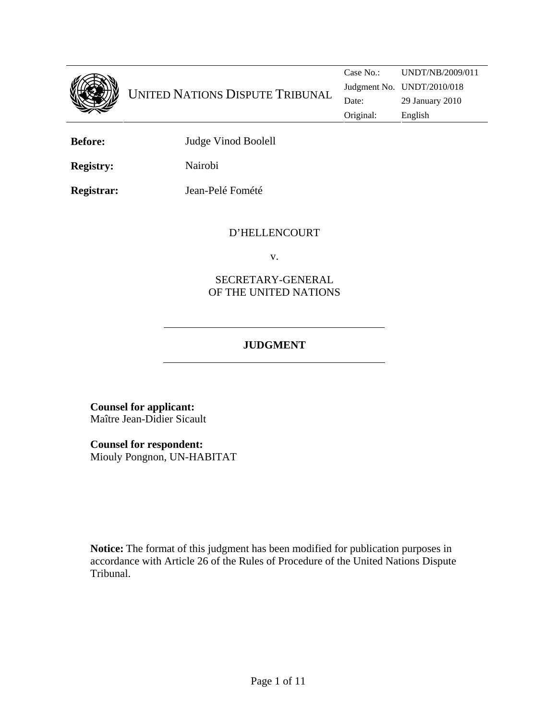

**Before:** Judge Vinod Boolell

**Registry:** Nairobi

**Registrar:** Jean-Pelé Fomété

## D'HELLENCOURT

v.

## SECRETARY-GENERAL OF THE UNITED NATIONS

# **JUDGMENT**

**Counsel for applicant:**  Maître Jean-Didier Sicault

**Counsel for respondent:**

Miouly Pongnon, UN-HABITAT

**Notice:** The format of this judgment has been modified for publication purposes in accordance with Article 26 of the Rules of Procedure of the United Nations Dispute Tribunal.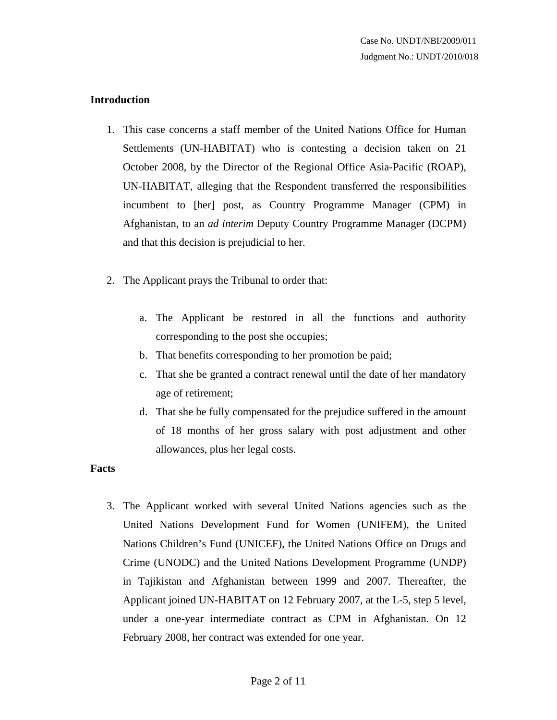#### **Introduction**

- 1. This case concerns a staff member of the United Nations Office for Human Settlements (UN-HABITAT) who is contesting a decision taken on 21 October 2008, by the Director of the Regional Office Asia-Pacific (ROAP), UN-HABITAT, alleging that the Respondent transferred the responsibilities incumbent to [her] post, as Country Programme Manager (CPM) in Afghanistan, to an *ad interim* Deputy Country Programme Manager (DCPM) and that this decision is prejudicial to her.
- 2. The Applicant prays the Tribunal to order that:
	- a. The Applicant be restored in all the functions and authority corresponding to the post she occupies;
	- b. That benefits corresponding to her promotion be paid;
	- c. That she be granted a contract renewal until the date of her mandatory age of retirement;
	- d. That she be fully compensated for the prejudice suffered in the amount of 18 months of her gross salary with post adjustment and other allowances, plus her legal costs.

## **Facts**

3. The Applicant worked with several United Nations agencies such as the United Nations Development Fund for Women (UNIFEM), the United Nations Children's Fund (UNICEF), the United Nations Office on Drugs and Crime (UNODC) and the United Nations Development Programme (UNDP) in Tajikistan and Afghanistan between 1999 and 2007. Thereafter, the Applicant joined UN-HABITAT on 12 February 2007, at the L-5, step 5 level, under a one-year intermediate contract as CPM in Afghanistan. On 12 February 2008, her contract was extended for one year.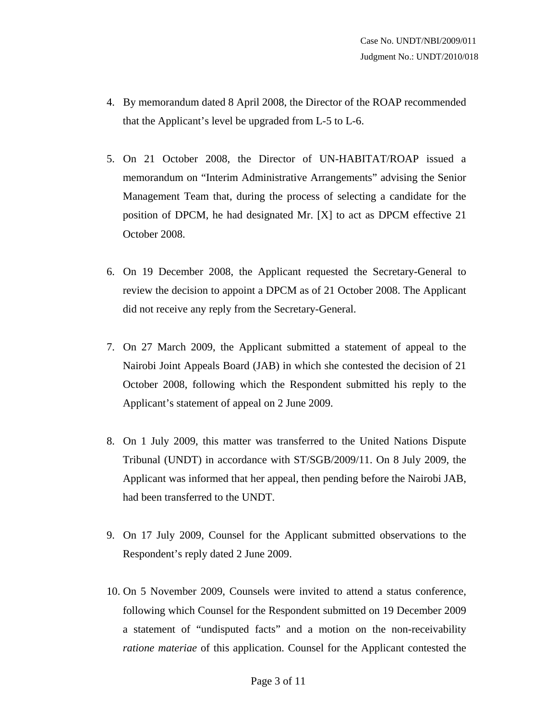- 4. By memorandum dated 8 April 2008, the Director of the ROAP recommended that the Applicant's level be upgraded from L-5 to L-6.
- 5. On 21 October 2008, the Director of UN-HABITAT/ROAP issued a memorandum on "Interim Administrative Arrangements" advising the Senior Management Team that, during the process of selecting a candidate for the position of DPCM, he had designated Mr. [X] to act as DPCM effective 21 October 2008.
- 6. On 19 December 2008, the Applicant requested the Secretary-General to review the decision to appoint a DPCM as of 21 October 2008. The Applicant did not receive any reply from the Secretary-General.
- 7. On 27 March 2009, the Applicant submitted a statement of appeal to the Nairobi Joint Appeals Board (JAB) in which she contested the decision of 21 October 2008, following which the Respondent submitted his reply to the Applicant's statement of appeal on 2 June 2009.
- 8. On 1 July 2009, this matter was transferred to the United Nations Dispute Tribunal (UNDT) in accordance with ST/SGB/2009/11. On 8 July 2009, the Applicant was informed that her appeal, then pending before the Nairobi JAB, had been transferred to the UNDT.
- 9. On 17 July 2009, Counsel for the Applicant submitted observations to the Respondent's reply dated 2 June 2009.
- 10. On 5 November 2009, Counsels were invited to attend a status conference, following which Counsel for the Respondent submitted on 19 December 2009 a statement of "undisputed facts" and a motion on the non-receivability *ratione materiae* of this application. Counsel for the Applicant contested the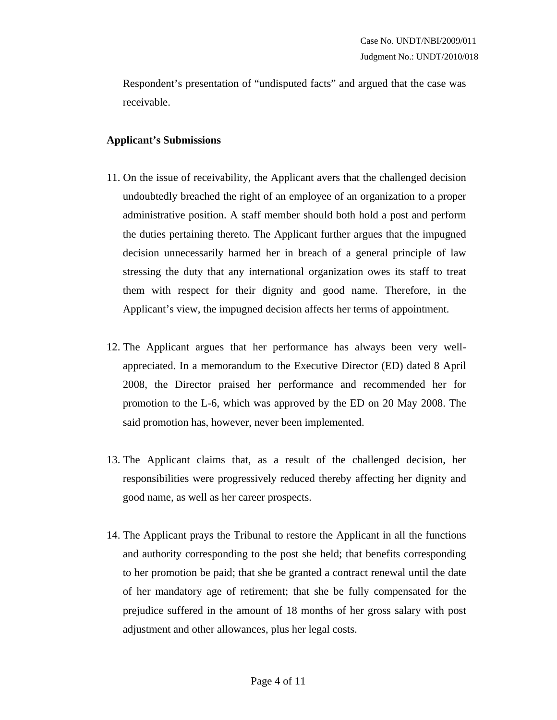Respondent's presentation of "undisputed facts" and argued that the case was receivable.

#### **Applicant's Submissions**

- 11. On the issue of receivability, the Applicant avers that the challenged decision undoubtedly breached the right of an employee of an organization to a proper administrative position. A staff member should both hold a post and perform the duties pertaining thereto. The Applicant further argues that the impugned decision unnecessarily harmed her in breach of a general principle of law stressing the duty that any international organization owes its staff to treat them with respect for their dignity and good name. Therefore, in the Applicant's view, the impugned decision affects her terms of appointment.
- 12. The Applicant argues that her performance has always been very wellappreciated. In a memorandum to the Executive Director (ED) dated 8 April 2008, the Director praised her performance and recommended her for promotion to the L-6, which was approved by the ED on 20 May 2008. The said promotion has, however, never been implemented.
- 13. The Applicant claims that, as a result of the challenged decision, her responsibilities were progressively reduced thereby affecting her dignity and good name, as well as her career prospects.
- 14. The Applicant prays the Tribunal to restore the Applicant in all the functions and authority corresponding to the post she held; that benefits corresponding to her promotion be paid; that she be granted a contract renewal until the date of her mandatory age of retirement; that she be fully compensated for the prejudice suffered in the amount of 18 months of her gross salary with post adjustment and other allowances, plus her legal costs.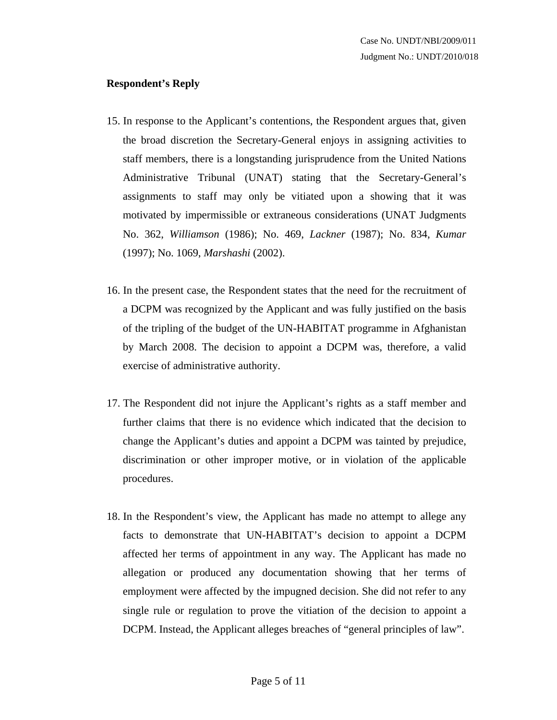### **Respondent's Reply**

- 15. In response to the Applicant's contentions, the Respondent argues that, given the broad discretion the Secretary-General enjoys in assigning activities to staff members, there is a longstanding jurisprudence from the United Nations Administrative Tribunal (UNAT) stating that the Secretary-General's assignments to staff may only be vitiated upon a showing that it was motivated by impermissible or extraneous considerations (UNAT Judgments No. 362, *Williamson* (1986); No. 469, *Lackner* (1987); No. 834, *Kumar* (1997); No. 1069, *Marshashi* (2002).
- 16. In the present case, the Respondent states that the need for the recruitment of a DCPM was recognized by the Applicant and was fully justified on the basis of the tripling of the budget of the UN-HABITAT programme in Afghanistan by March 2008. The decision to appoint a DCPM was, therefore, a valid exercise of administrative authority.
- 17. The Respondent did not injure the Applicant's rights as a staff member and further claims that there is no evidence which indicated that the decision to change the Applicant's duties and appoint a DCPM was tainted by prejudice, discrimination or other improper motive, or in violation of the applicable procedures.
- 18. In the Respondent's view, the Applicant has made no attempt to allege any facts to demonstrate that UN-HABITAT's decision to appoint a DCPM affected her terms of appointment in any way. The Applicant has made no allegation or produced any documentation showing that her terms of employment were affected by the impugned decision. She did not refer to any single rule or regulation to prove the vitiation of the decision to appoint a DCPM. Instead, the Applicant alleges breaches of "general principles of law".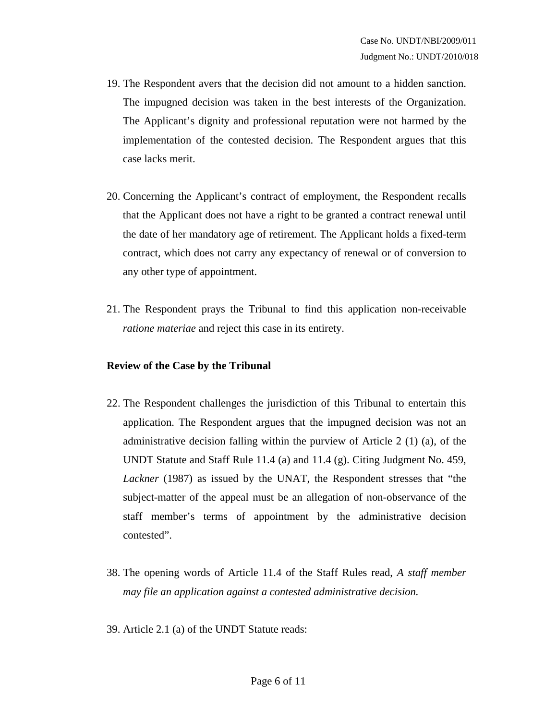- 19. The Respondent avers that the decision did not amount to a hidden sanction. The impugned decision was taken in the best interests of the Organization. The Applicant's dignity and professional reputation were not harmed by the implementation of the contested decision. The Respondent argues that this case lacks merit.
- 20. Concerning the Applicant's contract of employment, the Respondent recalls that the Applicant does not have a right to be granted a contract renewal until the date of her mandatory age of retirement. The Applicant holds a fixed-term contract, which does not carry any expectancy of renewal or of conversion to any other type of appointment.
- 21. The Respondent prays the Tribunal to find this application non-receivable *ratione materiae* and reject this case in its entirety.

#### **Review of the Case by the Tribunal**

- 22. The Respondent challenges the jurisdiction of this Tribunal to entertain this application. The Respondent argues that the impugned decision was not an administrative decision falling within the purview of Article 2 (1) (a), of the UNDT Statute and Staff Rule 11.4 (a) and 11.4 (g). Citing Judgment No. 459, *Lackner* (1987) as issued by the UNAT, the Respondent stresses that "the subject-matter of the appeal must be an allegation of non-observance of the staff member's terms of appointment by the administrative decision contested".
- 38. The opening words of Article 11.4 of the Staff Rules read, *A staff member may file an application against a contested administrative decision.*
- 39. Article 2.1 (a) of the UNDT Statute reads: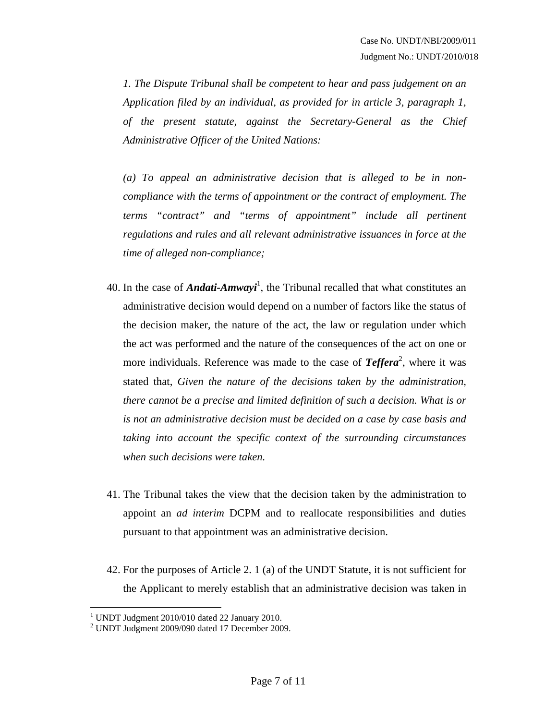*1. The Dispute Tribunal shall be competent to hear and pass judgement on an Application filed by an individual, as provided for in article 3, paragraph 1, of the present statute, against the Secretary-General as the Chief Administrative Officer of the United Nations:* 

*(a) To appeal an administrative decision that is alleged to be in noncompliance with the terms of appointment or the contract of employment. The terms "contract" and "terms of appointment" include all pertinent regulations and rules and all relevant administrative issuances in force at the time of alleged non-compliance;* 

- 40. In the case of *Andati-Amwayi*<sup>1</sup> , the Tribunal recalled that what constitutes an administrative decision would depend on a number of factors like the status of the decision maker, the nature of the act, the law or regulation under which the act was performed and the nature of the consequences of the act on one or more individuals. Reference was made to the case of **Teffera**<sup>2</sup>, where it was stated that, *Given the nature of the decisions taken by the administration, there cannot be a precise and limited definition of such a decision. What is or is not an administrative decision must be decided on a case by case basis and taking into account the specific context of the surrounding circumstances when such decisions were taken.*
- 41. The Tribunal takes the view that the decision taken by the administration to appoint an *ad interim* DCPM and to reallocate responsibilities and duties pursuant to that appointment was an administrative decision.
- 42. For the purposes of Article 2. 1 (a) of the UNDT Statute, it is not sufficient for the Applicant to merely establish that an administrative decision was taken in

 1 UNDT Judgment 2010/010 dated 22 January 2010.

<sup>2</sup> UNDT Judgment 2009/090 dated 17 December 2009.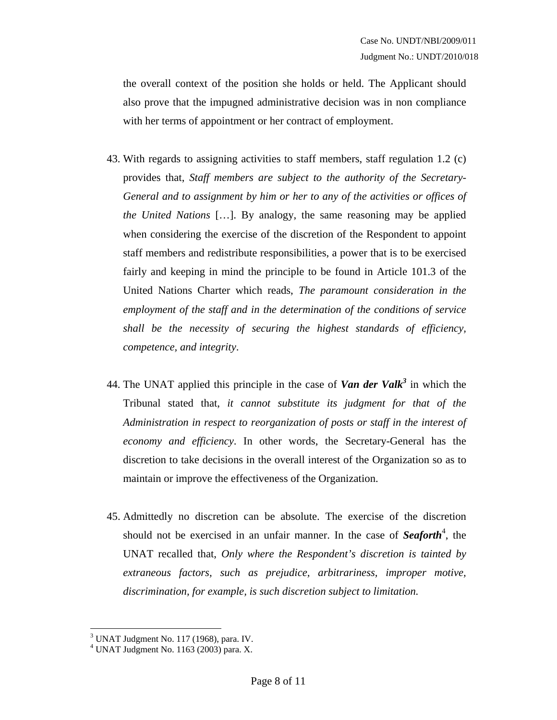the overall context of the position she holds or held. The Applicant should also prove that the impugned administrative decision was in non compliance with her terms of appointment or her contract of employment.

- 43. With regards to assigning activities to staff members, staff regulation 1.2 (c) provides that, *Staff members are subject to the authority of the Secretary-General and to assignment by him or her to any of the activities or offices of the United Nations* […]. By analogy, the same reasoning may be applied when considering the exercise of the discretion of the Respondent to appoint staff members and redistribute responsibilities, a power that is to be exercised fairly and keeping in mind the principle to be found in Article 101.3 of the United Nations Charter which reads, *The paramount consideration in the employment of the staff and in the determination of the conditions of service shall be the necessity of securing the highest standards of efficiency, competence, and integrity*.
- 44. The UNAT applied this principle in the case of **Van der Valk**<sup>3</sup> in which the Tribunal stated that, *it cannot substitute its judgment for that of the Administration in respect to reorganization of posts or staff in the interest of economy and efficiency*. In other words, the Secretary-General has the discretion to take decisions in the overall interest of the Organization so as to maintain or improve the effectiveness of the Organization.
- 45. Admittedly no discretion can be absolute. The exercise of the discretion should not be exercised in an unfair manner. In the case of **Seaforth**<sup>4</sup>, the UNAT recalled that, *Only where the Respondent's discretion is tainted by extraneous factors, such as prejudice, arbitrariness, improper motive, discrimination, for example, is such discretion subject to limitation.*

 3 UNAT Judgment No. 117 (1968), para. IV. 4 UNAT Judgment No. 1163 (2003) para. X.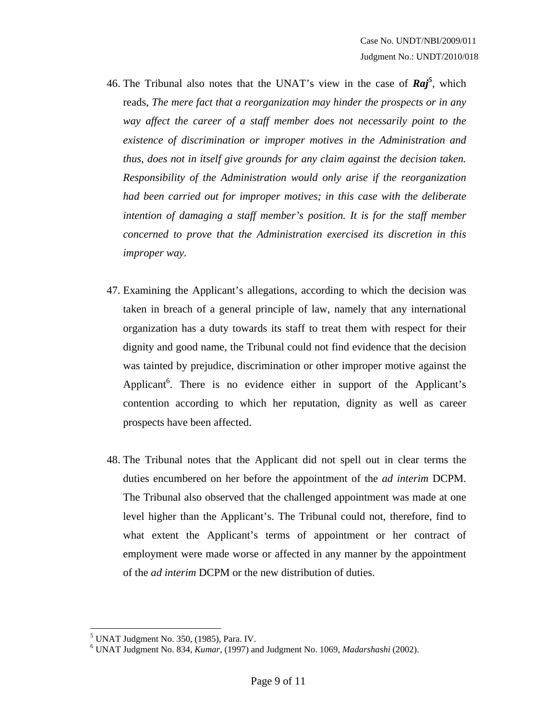- 46. The Tribunal also notes that the UNAT's view in the case of *Raj<sup>5</sup>* , which reads, *The mere fact that a reorganization may hinder the prospects or in any way affect the career of a staff member does not necessarily point to the existence of discrimination or improper motives in the Administration and thus, does not in itself give grounds for any claim against the decision taken. Responsibility of the Administration would only arise if the reorganization had been carried out for improper motives; in this case with the deliberate intention of damaging a staff member's position. It is for the staff member concerned to prove that the Administration exercised its discretion in this improper way.*
- 47. Examining the Applicant's allegations, according to which the decision was taken in breach of a general principle of law, namely that any international organization has a duty towards its staff to treat them with respect for their dignity and good name, the Tribunal could not find evidence that the decision was tainted by prejudice, discrimination or other improper motive against the Applicant<sup>6</sup>. There is no evidence either in support of the Applicant's contention according to which her reputation, dignity as well as career prospects have been affected.
- 48. The Tribunal notes that the Applicant did not spell out in clear terms the duties encumbered on her before the appointment of the *ad interim* DCPM. The Tribunal also observed that the challenged appointment was made at one level higher than the Applicant's. The Tribunal could not, therefore, find to what extent the Applicant's terms of appointment or her contract of employment were made worse or affected in any manner by the appointment of the *ad interim* DCPM or the new distribution of duties.

 5 UNAT Judgment No. 350, (1985), Para. IV.

<sup>6</sup> UNAT Judgment No. 834, *Kumar*, (1997) and Judgment No. 1069, *Madarshashi* (2002).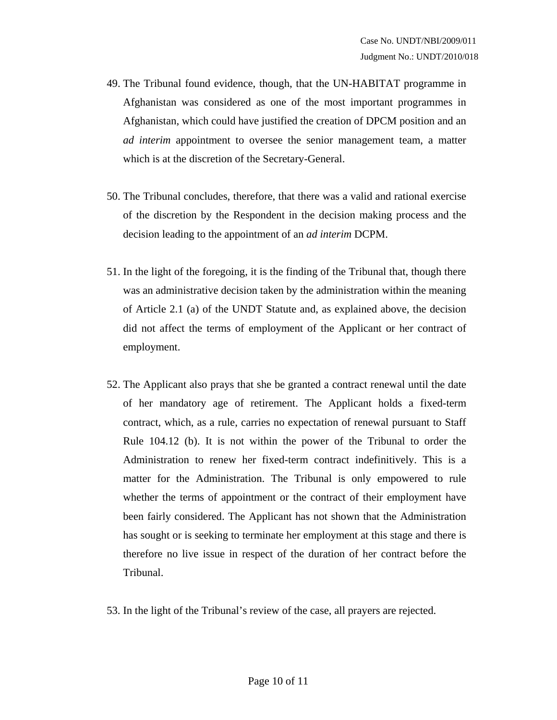- 49. The Tribunal found evidence, though, that the UN-HABITAT programme in Afghanistan was considered as one of the most important programmes in Afghanistan, which could have justified the creation of DPCM position and an *ad interim* appointment to oversee the senior management team, a matter which is at the discretion of the Secretary-General.
- 50. The Tribunal concludes, therefore, that there was a valid and rational exercise of the discretion by the Respondent in the decision making process and the decision leading to the appointment of an *ad interim* DCPM.
- 51. In the light of the foregoing, it is the finding of the Tribunal that, though there was an administrative decision taken by the administration within the meaning of Article 2.1 (a) of the UNDT Statute and, as explained above, the decision did not affect the terms of employment of the Applicant or her contract of employment.
- 52. The Applicant also prays that she be granted a contract renewal until the date of her mandatory age of retirement. The Applicant holds a fixed-term contract, which, as a rule, carries no expectation of renewal pursuant to Staff Rule 104.12 (b). It is not within the power of the Tribunal to order the Administration to renew her fixed-term contract indefinitively. This is a matter for the Administration. The Tribunal is only empowered to rule whether the terms of appointment or the contract of their employment have been fairly considered. The Applicant has not shown that the Administration has sought or is seeking to terminate her employment at this stage and there is therefore no live issue in respect of the duration of her contract before the Tribunal.
- 53. In the light of the Tribunal's review of the case, all prayers are rejected.